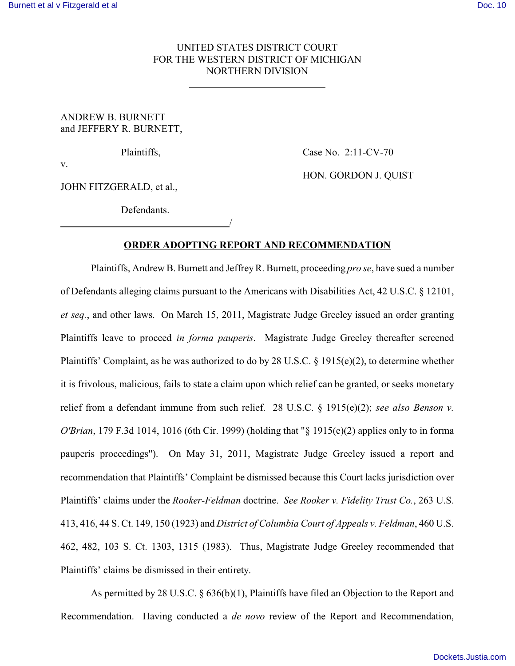## UNITED STATES DISTRICT COURT FOR THE WESTERN DISTRICT OF MICHIGAN NORTHERN DIVISION

ANDREW B. BURNETT and JEFFERY R. BURNETT,

 $\overline{a}$ 

Plaintiffs, Case No. 2:11-CV-70

HON. GORDON J. QUIST

v.

JOHN FITZGERALD, et al.,

Defendants. /

## **ORDER ADOPTING REPORT AND RECOMMENDATION**

Plaintiffs, Andrew B. Burnett and JeffreyR. Burnett, proceeding *pro se*, have sued a number of Defendants alleging claims pursuant to the Americans with Disabilities Act, 42 U.S.C. § 12101, *et seq.*, and other laws. On March 15, 2011, Magistrate Judge Greeley issued an order granting Plaintiffs leave to proceed *in forma pauperis*. Magistrate Judge Greeley thereafter screened Plaintiffs' Complaint, as he was authorized to do by 28 U.S.C. § 1915(e)(2), to determine whether it is frivolous, malicious, fails to state a claim upon which relief can be granted, or seeks monetary relief from a defendant immune from such relief. 28 U.S.C. § 1915(e)(2); *see also Benson v. O'Brian*, 179 F.3d 1014, 1016 (6th Cir. 1999) (holding that "§ 1915(e)(2) applies only to in forma pauperis proceedings"). On May 31, 2011, Magistrate Judge Greeley issued a report and recommendation that Plaintiffs' Complaint be dismissed because this Court lacks jurisdiction over Plaintiffs' claims under the *Rooker-Feldman* doctrine. *See Rooker v. Fidelity Trust Co.*, 263 U.S. 413, 416, 44 S. Ct. 149, 150 (1923) and *District of Columbia Court of Appeals v. Feldman*, 460 U.S. 462, 482, 103 S. Ct. 1303, 1315 (1983). Thus, Magistrate Judge Greeley recommended that Plaintiffs' claims be dismissed in their entirety.

As permitted by 28 U.S.C. § 636(b)(1), Plaintiffs have filed an Objection to the Report and Recommendation. Having conducted a *de novo* review of the Report and Recommendation,